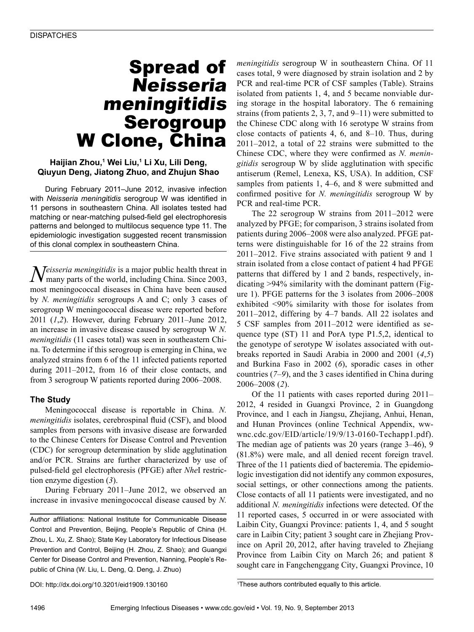## Spread of Neisseria meningitidis Serogroup W Clone, China

#### **Haijian Zhou,1 Wei Liu,1 Li Xu, Lili Deng, Qiuyun Deng, Jiatong Zhuo, and Zhujun Shao**

During February 2011–June 2012, invasive infection with *Neisseria meningitidis* serogroup W was identified in 11 persons in southeastern China. All isolates tested had matching or near-matching pulsed-field gel electrophoresis patterns and belonged to multilocus sequence type 11. The epidemiologic investigation suggested recent transmission of this clonal complex in southeastern China.

*Neisseria meningitidis* is a major public health threat in many parts of the world, including China, Since 2003. many parts of the world, including China. Since 2003, most meningococcal diseases in China have been caused by *N. meningitidis* serogroups A and C; only 3 cases of serogroup W meningococcal disease were reported before 2011 (*1*,*2*). However, during February 2011–June 2012, an increase in invasive disease caused by serogroup W *N. meningitidis* (11 cases total) was seen in southeastern China. To determine if this serogroup is emerging in China, we analyzed strains from 6 of the 11 infected patients reported during 2011–2012, from 16 of their close contacts, and from 3 serogroup W patients reported during 2006–2008.

#### **The Study**

Meningococcal disease is reportable in China. *N. meningitidis* isolates, cerebrospinal fluid (CSF), and blood samples from persons with invasive disease are forwarded to the Chinese Centers for Disease Control and Prevention (CDC) for serogroup determination by slide agglutination and/or PCR. Strains are further characterized by use of pulsed-field gel electrophoresis (PFGE) after *Nhe*I restriction enzyme digestion (*3*).

During February 2011–June 2012, we observed an increase in invasive meningococcal disease caused by *N.* 

Author affiliations: National Institute for Communicable Disease Control and Prevention, Beijing, People's Republic of China (H. Zhou, L. Xu, Z. Shao); State Key Laboratory for Infectious Disease Prevention and Control, Beijing (H. Zhou, Z. Shao); and Guangxi Center for Disease Control and Prevention, Nanning, People's Republic of China (W. Liu, L. Deng, Q. Deng, J. Zhuo)

*meningitidis* serogroup W in southeastern China. Of 11 cases total, 9 were diagnosed by strain isolation and 2 by PCR and real-time PCR of CSF samples (Table). Strains isolated from patients 1, 4, and 5 became nonviable during storage in the hospital laboratory. The 6 remaining strains (from patients 2, 3, 7, and  $9-11$ ) were submitted to the Chinese CDC along with 16 serotype W strains from close contacts of patients 4, 6, and 8–10. Thus, during 2011–2012, a total of 22 strains were submitted to the Chinese CDC, where they were confirmed as *N. meningitidis* serogroup W by slide agglutination with specific antiserum (Remel, Lenexa, KS, USA). In addition, CSF samples from patients 1, 4–6, and 8 were submitted and confirmed positive for *N. meningitidis* serogroup W by PCR and real-time PCR.

The 22 serogroup W strains from 2011–2012 were analyzed by PFGE; for comparison, 3 strains isolated from patients during 2006–2008 were also analyzed. PFGE patterns were distinguishable for 16 of the 22 strains from 2011–2012. Five strains associated with patient 9 and 1 strain isolated from a close contact of patient 4 had PFGE patterns that differed by 1 and 2 bands, respectively, indicating >94% similarity with the dominant pattern (Figure 1). PFGE patterns for the 3 isolates from 2006–2008 exhibited <90% similarity with those for isolates from 2011–2012, differing by 4–7 bands. All 22 isolates and 5 CSF samples from 2011–2012 were identified as sequence type (ST) 11 and PorA type P1.5,2, identical to the genotype of serotype W isolates associated with outbreaks reported in Saudi Arabia in 2000 and 2001 (*4*,*5*) and Burkina Faso in 2002 (*6*), sporadic cases in other countries (*7*–*9*), and the 3 cases identified in China during 2006–2008 (*2*).

Of the 11 patients with cases reported during 2011– 2012, 4 resided in Guangxi Province, 2 in Guangdong Province, and 1 each in Jiangsu, Zhejiang, Anhui, Henan, and Hunan Provinces (online Technical Appendix, wwwnc.cdc.gov/EID/article/19/9/13-0160-Techapp1.pdf). The median age of patients was 20 years (range 3–46), 9 (81.8%) were male, and all denied recent foreign travel. Three of the 11 patients died of bacteremia. The epidemiologic investigation did not identify any common exposures, social settings, or other connections among the patients. Close contacts of all 11 patients were investigated, and no additional *N. meningitidis* infections were detected. Of the 11 reported cases, 5 occurred in or were associated with Laibin City, Guangxi Province: patients 1, 4, and 5 sought care in Laibin City; patient 3 sought care in Zhejiang Province on April 20, 2012, after having traveled to Zhejiang Province from Laibin City on March 26; and patient 8 sought care in Fangchenggang City, Guangxi Province, 10

<sup>&</sup>lt;sup>1</sup>These authors contributed equally to this article.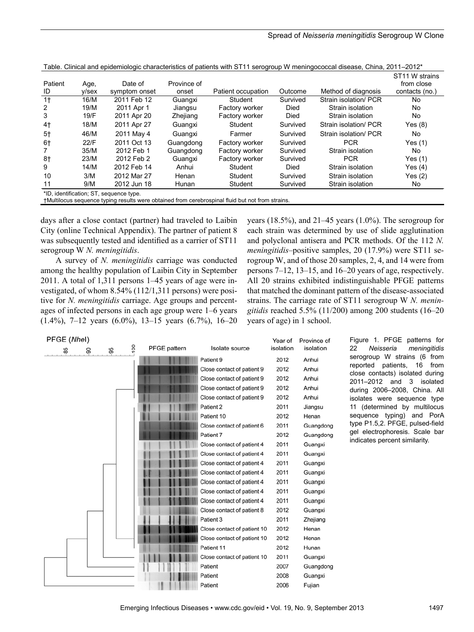| Patient<br>ID  | Age,<br>y/sex | Date of<br>symptom onset                | Province of<br>onset | Patient occupation | Outcome  | Method of diagnosis   | ST <sub>11</sub> W strains<br>from close<br>contacts (no.) |
|----------------|---------------|-----------------------------------------|----------------------|--------------------|----------|-----------------------|------------------------------------------------------------|
| 1 <sub>†</sub> | 16/M          | 2011 Feb 12                             | Guangxi              | Student            | Survived | Strain isolation/ PCR | No                                                         |
| 2              | 19/M          | 2011 Apr 1                              | Jiangsu              | Factory worker     | Died     | Strain isolation      | No                                                         |
| 3              | 19/F          | 2011 Apr 20                             | Zhejiang             | Factory worker     | Died     | Strain isolation      | No                                                         |
| 4†             | 18/M          | 2011 Apr 27                             | Guangxi              | Student            | Survived | Strain isolation/ PCR | Yes(8)                                                     |
| $5+$           | 46/M          | 2011 May 4                              | Guangxi              | Farmer             | Survived | Strain isolation/ PCR | No                                                         |
| 6†             | 22/F          | 2011 Oct 13                             | Guangdong            | Factory worker     | Survived | <b>PCR</b>            | Yes $(1)$                                                  |
|                | 35/M          | 2012 Feb 1                              | Guangdong            | Factory worker     | Survived | Strain isolation      | No                                                         |
| 8†             | 23/M          | 2012 Feb 2                              | Guangxi              | Factory worker     | Survived | <b>PCR</b>            | Yes $(1)$                                                  |
| 9              | 14/M          | 2012 Feb 14                             | Anhui                | Student            | Died     | Strain isolation      | Yes $(4)$                                                  |
| 10             | 3/M           | 2012 Mar 27                             | Henan                | Student            | Survived | Strain isolation      | Yes(2)                                                     |
| 11             | 9/M           | 2012 Jun 18                             | Hunan                | Student            | Survived | Strain isolation      | No                                                         |
|                |               | *ID, identification; ST, sequence type. |                      |                    |          |                       |                                                            |

Table. Clinical and epidemiologic characteristics of patients with ST11 serogroup W meningococcal disease, China, 2011–2012\*

†Multilocus sequence typing results were obtained from cerebrospinal fluid but not from strains.

days after a close contact (partner) had traveled to Laibin City (online Technical Appendix). The partner of patient 8 was subsequently tested and identified as a carrier of ST11 serogroup W *N. meningitidis*.

A survey of *N. meningitidis* carriage was conducted among the healthy population of Laibin City in September 2011. A total of 1,311 persons 1–45 years of age were investigated, of whom 8.54% (112/1,311 persons) were positive for *N. meningitidis* carriage. Age groups and percentages of infected persons in each age group were 1–6 years (1.4%), 7–12 years (6.0%), 13–15 years (6.7%), 16–20

years  $(18.5\%)$ , and  $21-45$  years  $(1.0\%)$ . The serogroup for each strain was determined by use of slide agglutination and polyclonal antisera and PCR methods. Of the 112 *N. meningitidis*–positive samples, 20 (17.9%) were ST11 serogroup W, and of those 20 samples, 2, 4, and 14 were from persons 7–12, 13–15, and 16–20 years of age, respectively. All 20 strains exhibited indistinguishable PFGE patterns that matched the dominant pattern of the disease-associated strains. The carriage rate of ST11 serogroup W *N. meningitidis* reached 5.5% (11/200) among 200 students (16–20 years of age) in 1 school.

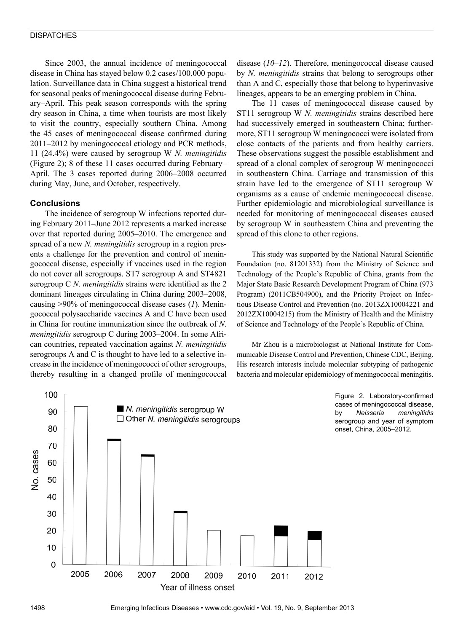#### **DISPATCHES**

Since 2003, the annual incidence of meningococcal disease in China has stayed below 0.2 cases/100,000 population. Surveillance data in China suggest a historical trend for seasonal peaks of meningococcal disease during February–April. This peak season corresponds with the spring dry season in China, a time when tourists are most likely to visit the country, especially southern China. Among the 45 cases of meningococcal disease confirmed during 2011–2012 by meningococcal etiology and PCR methods, 11 (24.4%) were caused by serogroup W *N. meningitidis* (Figure 2); 8 of these 11 cases occurred during February– April. The 3 cases reported during 2006–2008 occurred during May, June, and October, respectively.

#### **Conclusions**

The incidence of serogroup W infections reported during February 2011–June 2012 represents a marked increase over that reported during 2005–2010. The emergence and spread of a new *N. meningitidis* serogroup in a region presents a challenge for the prevention and control of meningococcal disease, especially if vaccines used in the region do not cover all serogroups. ST7 serogroup A and ST4821 serogroup C *N. meningitidis* strains were identified as the 2 dominant lineages circulating in China during 2003–2008, causing >90% of meningococcal disease cases (*1*). Meningococcal polysaccharide vaccines A and C have been used in China for routine immunization since the outbreak of *N*. *meningitidis* serogroup C during 2003–2004. In some African countries, repeated vaccination against *N. meningitidis* serogroups A and C is thought to have led to a selective increase in the incidence of meningococci of other serogroups, thereby resulting in a changed profile of meningococcal

disease (*10*–*12*). Therefore, meningococcal disease caused by *N. meningitidis* strains that belong to serogroups other than A and C, especially those that belong to hyperinvasive lineages, appears to be an emerging problem in China.

The 11 cases of meningococcal disease caused by ST11 serogroup W *N. meningitidis* strains described here had successively emerged in southeastern China; furthermore, ST11 serogroup W meningococci were isolated from close contacts of the patients and from healthy carriers. These observations suggest the possible establishment and spread of a clonal complex of serogroup W meningococci in southeastern China. Carriage and transmission of this strain have led to the emergence of ST11 serogroup W organisms as a cause of endemic meningococcal disease. Further epidemiologic and microbiological surveillance is needed for monitoring of meningococcal diseases caused by serogroup W in southeastern China and preventing the spread of this clone to other regions.

This study was supported by the National Natural Scientific Foundation (no. 81201332) from the Ministry of Science and Technology of the People's Republic of China, grants from the Major State Basic Research Development Program of China (973 Program) (2011CB504900), and the Priority Project on Infectious Disease Control and Prevention (no. 2013ZX10004221 and 2012ZX10004215) from the Ministry of Health and the Ministry of Science and Technology of the People's Republic of China.

Mr Zhou is a microbiologist at National Institute for Communicable Disease Control and Prevention, Chinese CDC, Beijing. His research interests include molecular subtyping of pathogenic bacteria and molecular epidemiology of meningococcal meningitis.

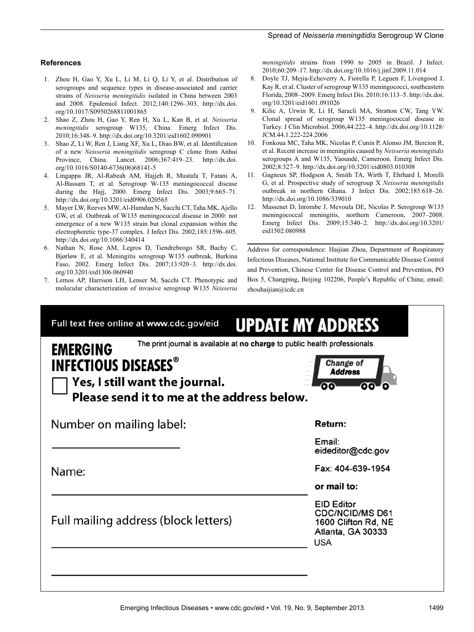#### **References**

- 1. Zhou H, Gao Y, Xu L, Li M, Li Q, Li Y, et al. Distribution of serogroups and sequence types in disease-associated and carrier strains of *Neisseria meningitidis* isolated in China between 2003 and 2008. Epidemiol Infect. 2012;140:1296–303. http://dx.doi. org/10.1017/S0950268811001865
- 2. Shao Z, Zhou H, Gao Y, Ren H, Xu L, Kan B, et al. *Neisseria meningitidis* serogroup W135, China. Emerg Infect Dis. 2010;16:348–9. http://dx.doi.org/10.3201/eid1602.090901
- 3. Shao Z, Li W, Ren J, Liang XF, Xu L, Diao BW, et al. Identification of a new *Neisseria meningitidis* serogroup C clone from Anhui Province, China. Lancet. 2006;367:419–23. http://dx.doi. org/10.1016/S0140-6736(06)68141-5
- 4. Lingappa JR, Al-Rabeah AM, Hajjeh R, Mustafa T, Fatani A, Al-Bassam T, et al. Serogroup W-135 meningococcal disease during the Hajj, 2000. Emerg Infect Dis. 2003;9:665–71. http://dx.doi.org/10.3201/eid0906.020565
- 5. Mayer LW, Reeves MW, Al-Hamdan N, Sacchi CT, Taha MK, Ajello GW, et al. Outbreak of W135 meningococcal disease in 2000: not emergence of a new W135 strain but clonal expansion within the electrophoretic type-37 complex. J Infect Dis. 2002;185:1596–605. http://dx.doi.org/10.1086/340414
- Nathan N, Rose AM, Legros D, Tiendrebeogo SR, Bachy C, Bjørløw E, et al. Meningitis serogroup W135 outbreak, Burkina Faso, 2002. Emerg Infect Dis. 2007;13:920–3. http://dx.doi. org/10.3201/eid1306.060940
- 7. Lemos AP, Harrison LH, Lenser M, Sacchi CT. Phenotypic and molecular characterization of invasive serogroup W135 *Neisseria*

*meningitidis* strains from 1990 to 2005 in Brazil. J Infect. 2010;60:209–17. http://dx.doi.org/10.1016/j.jinf.2009.11.014

- 8. Doyle TJ, Mejia-Echeverry A, Fiorella P, Leguen F, Livengood J, Kay R, et al. Cluster of serogroup W135 meningococci, southeastern Florida, 2008–2009. Emerg Infect Dis. 2010;16:113–5. http://dx.doi. org/10.3201/eid1601.091026
- 9. Kilic A, Urwin R, Li H, Saracli MA, Stratton CW, Tang YW. Clonal spread of serogroup W135 meningococcal disease in Turkey. J Clin Microbiol. 2006;44:222–4. http://dx.doi.org/10.1128/ JCM.44.1.222-224.2006
- 10. Fonkoua MC, Taha MK, Nicolas P, Cunin P, Alonso JM, Bercion R, et al. Recent increase in meningitis caused by *Neisseria meningitidis* serogroups A and W135, Yaoundé, Cameroon. Emerg Infect Dis. 2002;8:327–9. http://dx.doi.org/10.3201/eid0803.010308
- 11. Gagneux SP, Hodgson A, Smith TA, Wirth T, Ehrhard I, Morelli G, et al. Prospective study of serogroup X *Neisseria meningitidis* outbreak in northern Ghana. J Infect Dis. 2002;185:618–26. http://dx.doi.org/10.1086/339010
- 12. Massenet D, Inrombe J, Mevoula DE, Nicolas P. Serogroup W135 meningococcal meningitis, northern Cameroon, 2007–2008. Emerg Infect Dis. 2009;15:340–2. http://dx.doi.org/10.3201/ eid1502.080988

Address for correspondence: Haijian Zhou, Department of Respiratory Infectious Diseases, National Institute for Communicable Disease Control and Prevention, Chinese Center for Disease Control and Prevention, PO Box 5, Changping, Beijing 102206, People's Republic of China; email: zhouhaijian@icdc.cn

| <b>EMERGING</b>                                                                                             | The print journal is available at no charge to public health professionals.             |  |  |  |  |
|-------------------------------------------------------------------------------------------------------------|-----------------------------------------------------------------------------------------|--|--|--|--|
| <b>INFECTIOUS DISEASES®</b><br>Yes, I still want the journal.<br>Please send it to me at the address below. | Change of<br><b>Address</b>                                                             |  |  |  |  |
| Number on mailing label:                                                                                    | Return:                                                                                 |  |  |  |  |
|                                                                                                             | Email:<br>eideditor@cdc.gov                                                             |  |  |  |  |
| Name:                                                                                                       | Fax: 404-639-1954                                                                       |  |  |  |  |
|                                                                                                             | or mail to:                                                                             |  |  |  |  |
| Full mailing address (block letters)                                                                        | <b>EID Editor</b><br><b>CDC/NCID/MS D61</b><br>1600 Clifton Rd, NE<br>Atlanta, GA 30333 |  |  |  |  |